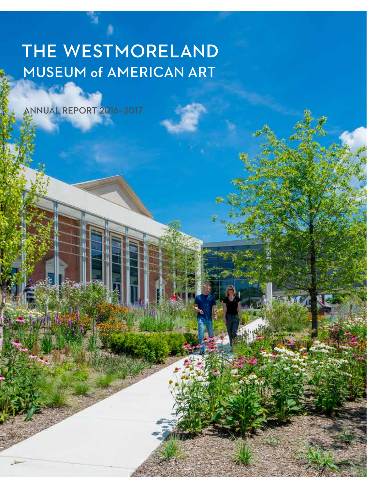# THE WESTMORELAND MUSEUM of AMERICAN ART

Annual Report 2016–2017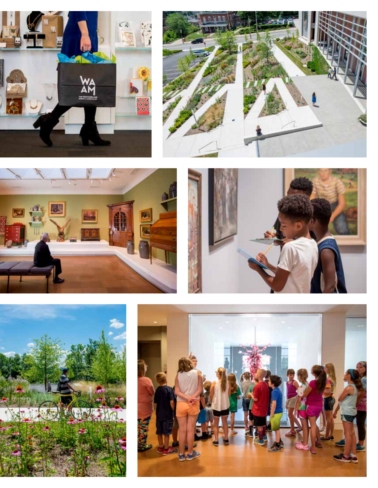









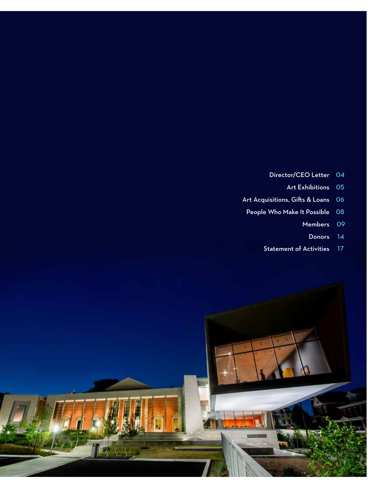- Director/CEO Letter 04
	- Art Exhibitions 05
- Art Acquisitions, Gifts & Loans 06
- People Who Make It Possible 08
	- Members 09
		- Donors 14
	- Statement of Activities 17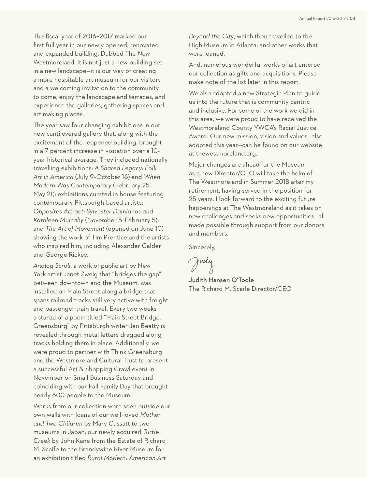The fiscal year of 2016–2017 marked our first full year in our newly opened, renovated and expanded building. Dubbed The *New* Westmoreland, it is not just a new building set in a new landscape—it is our way of creating a more hospitable art museum for our visitors and a welcoming invitation to the community to come, enjoy the landscape and terraces, and experience the galleries, gathering spaces and art making places.

The year saw four changing exhibitions in our new cantilevered gallery that, along with the excitement of the reopened building, brought in a 7 percent increase in visitation over a 10 year historical average. They included nationally travelling exhibitions: *A Shared Legacy: Folk Art in America* (July 9–October 16) and *When Modern Was Contemporary* (February 25– May 21); exhibitions curated in house featuring contemporary Pittsburgh-based artists: *Opposites Attract: Sylvester Damianos and Kathleen Mulcahy* (November 5–February 5); and *The Art of Movement* (opened on June 10) showing the work of Tim Prentice and the artists who inspired him, including Alexander Calder and George Rickey.

*Analog Scroll*, a work of public art by New York artist Janet Zweig that "bridges the gap" between downtown and the Museum, was installed on Main Street along a bridge that spans railroad tracks still very active with freight and passenger train travel. Every two weeks a stanza of a poem titled "Main Street Bridge, Greensburg" by Pittsburgh writer Jan Beatty is revealed through metal letters dragged along tracks holding them in place. Additionally, we were proud to partner with Think Greensburg and the Westmoreland Cultural Trust to present a successful Art & Shopping Crawl event in November on Small Business Saturday and coinciding with our Fall Family Day that brought nearly 600 people to the Museum.

Works from our collection were seen outside our own walls with loans of our well-loved *Mother and Two Children* by Mary Cassatt to two museums in Japan; our newly acquired *Turtle Creek* by John Kane from the Estate of Richard M. Scaife to the Brandywine River Museum for an exhibition titled *Rural Modern: American Art*

*Beyond the City*, which then travelled to the High Museum in Atlanta; and other works that were loaned.

And, numerous wonderful works of art entered our collection as gifts and acquisitions. Please make note of the list later in this report.

We also adopted a new Strategic Plan to guide us into the future that is community centric and inclusive. For some of the work we did in this area, we were proud to have received the Westmoreland County YWCA's Racial Justice Award. Our new mission, vision and values—also adopted this year—can be found on our website at thewestmoreland.org.

Major changes are ahead for the Museum as a new Director/CEO will take the helm of The Westmoreland in Summer 2018 after my retirement, having served in the position for 25 years. I look forward to the exciting future happenings at The Westmoreland as it takes on new challenges and seeks new opportunities—all made possible through support from our donors and members.

Sincerely,

nder

Judith Hansen O'Toole The Richard M. Scaife Director/CEO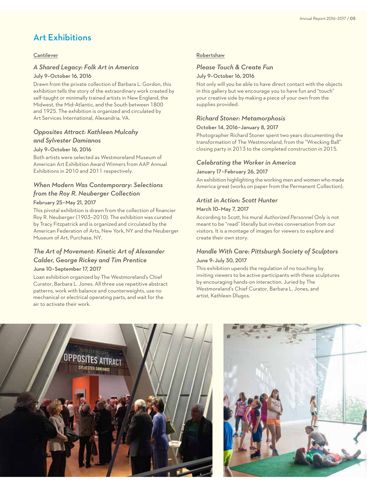## Art Exhibitions

#### **Cantilever**

#### *A Shared Legacy: Folk Art in America*

#### July 9–October 16, 2016

Drawn from the private collection of Barbara L. Gordon, this exhibition tells the story of the extraordinary work created by self-taught or minimally trained artists in New England, the Midwest, the Mid-Atlantic, and the South between 1800 and 1925. The exhibition is organized and circulated by Art Services International, Alexandria, VA.

#### *Opposites Attract: Kathleen Mulcahy and Sylvester Damianos*

## July 9–October 16, 2016

Both artists were selected as Westmoreland Museum of American Art Exhibition Award Winners from AAP Annual Exhibitions in 2010 and 2011 respectively.

#### *When Modern Was Contemporary: Selections from the Roy R. Neuberger Collection* February 25–May 21, 2017

This pivotal exhibition is drawn from the collection of financier Roy R. Neuberger (1903–2010). The exhibition was curated by Tracy Fitzpatrick and is organized and circulated by the American Federation of Arts, New York, NY and the Neuberger Museum of Art, Purchase, NY.

#### *The Art of Movement: Kinetic Art of Alexander Calder, George Rickey and Tim Prentice* June 10–September 17, 2017

Loan exhibition organized by The Westmoreland's Chief Curator, Barbara L. Jones. All three use repetitive abstract patterns, work with balance and counterweights, use no mechanical or electrical operating parts, and wait for the air to activate their work.

#### Robertshaw

#### *Please Touch & Create Fun*

#### July 9–October 16, 2016

Not only will you be able to have direct contact with the objects in this gallery but we encourage you to have fun and "touch" your creative side by making a piece of your own from the supplies provided.

#### *Richard Stoner: Metamorphosis*

#### October 14, 2016–January 8, 2017

Photographer Richard Stoner spent two years documenting the transformation of The Westmoreland, from the "Wrecking Ball" closing party in 2013 to the completed construction in 2015.

#### *Celebrating the Worker in America*

#### January 17–February 26, 2017

An exhibition highlighting the working men and women who made America great (works on paper from the Permanent Collection).

#### *Artist in Action: Scott Hunter*

#### March 10–May 7, 2017

According to Scott, his mural *Authorized Personnel Onl*y is not meant to be "read" literally but invites conversation from our visitors. It is a montage of images for viewers to explore and create their own story.

#### *Handle With Care: Pittsburgh Society of Sculptors*

#### June 9–July 30, 2017

This exhibition upends the regulation of no touching by inviting viewers to be active participants with these sculptures by encouraging hands-on interaction. Juried by The Westmoreland's Chief Curator, Barbara L. Jones, and artist, Kathleen Dlugos.



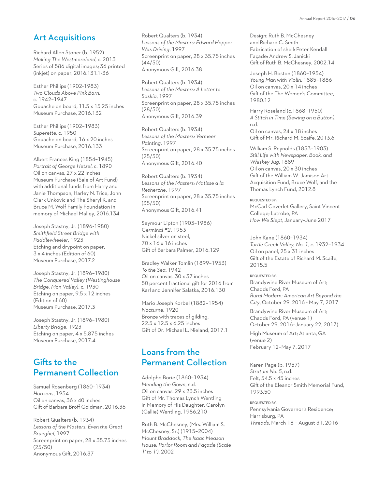## Art Acquisitions

Richard Allen Stoner (b. 1952) *Making The Westmoreland*, c. 2013 Series of 586 digital images; 36 printed (inkjet) on paper, 2016.131.1-36

Esther Phillips (1902-1983) *Two Clouds Above Pink Barn*, c. 1942–1947 Gouache on board, 11.5 x 15.25 inches Museum Purchase, 2016.132

Esther Phillips (1902–1983) *Superette*, c. 1950 Gouache on board, 16 x 20 inches Museum Purchase, 2016.133

Albert Frances King (1854–1945) *Portrait of George Hetzel*, c. 1890 Oil on canvas, 27 x 22 inches Museum Purchase (Sale of Art Fund) with additional funds from Harry and Janie Thompson, Harley N. Trice, John Clark Unkovic and The Sheryl K. and Bruce M. Wolf Family Foundation in memory of Michael Malley, 2016.134

Joseph Stastny, Jr. (1896-1980) *Smithfield Street Bridge with Paddlewheeler*, 1923 Etching and drypoint on paper, 3 x 4 inches (Edition of 60) Museum Purchase, 2017.2

Joseph Stastny, Jr. (1896–1980) *The Conquered Valley (Westinghouse Bridge, Mon Valley)*, c. 1930 Etching on paper, 9.5 x 12 inches (Edition of 60) Museum Purchase, 2017.3

Joseph Stastny, Jr. (1896–1980) *Liberty Bridge*, 1923 Etching on paper, 4 x 5.875 inches Museum Purchase, 2017.4

## Gifts to the Permanent Collection

Samuel Rosenberg (1860–1934) *Horizons*, 1954 Oil on canvas, 36 x 40 inches Gift of Barbara Broff Goldman, 2016.36

Robert Qualters (b. 1934) *Lessons of the Masters: Even the Great Brueghel*, 1997 Screenprint on paper, 28 x 35.75 inches (25/50) Anonymous Gift, 2016.37

Robert Qualters (b. 1934) *Lessons of the Masters: Edward Hopper Was Driving*, 1997 Screenprint on paper, 28 x 35.75 inches (44/50) Anonymous Gift, 2016.38

Robert Qualters (b. 1934) *Lessons of the Masters: A Letter to Saskia*, 1997 Screenprint on paper, 28 x 35.75 inches (28/50) Anonymous Gift, 2016.39

Robert Qualters (b. 1934) *Lessons of the Masters: Vermeer Painting*, 1997 Screenprint on paper, 28 x 35.75 inches (25/50) Anonymous Gift, 2016.40

Robert Qualters (b. 1934) *Lessons of the Masters: Matisse a la Resherche*, 1997 Screenprint on paper, 28 x 35.75 inches (35/50) Anonymous Gift, 2016.41

Seymour Lipton (1903–1986) *Germinal #2*, 1953 Nickel silver on steel, 70 x 16 x 16 inches Gift of Barbara Palmer, 2016.129

Bradley Walker Tomlin (1899–1953) *To the Sea*, 1942 Oil on canvas, 30 x 37 inches 50 percent fractional gift for 2016 from Karl and Jennifer Salatka, 2016.130

Mario Joseph Korbel (1882–1954) *Nocturne*, 1920 Bronze with traces of gilding, 22.5 x 12.5 x 6.25 inches Gift of Dr. Michael L. Nieland, 2017.1

## Loans from the Permanent Collection

Adolphe Borie (1860–1934) *Mending the Gown*, n.d. Oil on canvas, 29 x 23.5 inches Gift of Mr. Thomas Lynch Wentling in Memory of His Daughter, Carolyn (Callie) Wentling, 1986.210

Ruth B. McChesney, (Mrs. William S. McChesney, Sr.) (1915–2004) *Mount Braddock, The Isaac Meason House: Parlor Room and Façade (Scale 1' to 1')*, 2002

Design: Ruth B. McChesney and Richard C. Smith Fabrication of shell: Peter Kendall Façade: Andrew S. Janicki Gift of Ruth B. McChesney, 2002.14

Joseph H. Boston (1860–1954) *Young Man with Violin*, 1885–1886 Oil on canvas, 20 x 14 inches Gift of the The Women's Committee, 1980.12

Harry Roseland (c.1868–1950) *A Stitch in Time (Sewing on a Button)*, n.d. Oil on canvas, 24 x 18 inches Gift of Mr. Richard M. Scaife, 2013.6

William S. Reynolds (1853–1903) *Still Life with Newspaper, Book, and Whiskey Jug*, 1889 Oil on canvas, 20 x 30 inches Gift of the William W. Jamison Art Acquisition Fund, Bruce Wolf, and the Thomas Lynch Fund, 2012.8

REQUESTED BY: McCarl Coverlet Gallery, Saint Vincent College; Latrobe, PA *How We Slept*, January–June 2017

John Kane (1860–1934) *Turtle Creek Valley, No. 1*, c. 1932–1934 Oil on panel, 25 x 31 inches Gift of the Estate of Richard M. Scaife, 2015.5

REQUESTED BY: Brandywine River Museum of Art; Chadds Ford, PA *Rural Modern: American Art Beyond the City*, October 29, 2016 - May 7, 2017

Brandywine River Museum of Art; Chadds Ford, PA (venue 1) October 29, 2016–January 22, 2017)

High Museum of Art; Atlanta, GA (venue 2) February 12–May 7, 2017

Karen Page (b. 1957) *Stratum No. 5*, n.d. Felt, 54.5 x 45 inches Gift of the Eleanor Smith Memorial Fund, 1993.50

REQUESTED BY: Pennsylvania Governor's Residence; Harrisburg, PA *Threads*, March 18 – August 31, 2016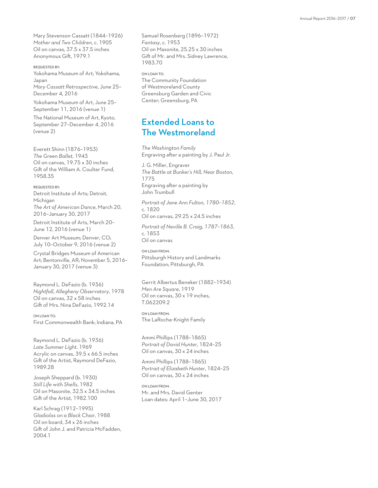Mary Stevenson Cassatt (1844–1926) *Mother and Two Children*, c. 1905 Oil on canvas, 37.5 x 37.5 inches Anonymous Gift, 1979.1

REQUESTED BY: Yokohama Museum of Art; Yokohama, Japan *Mary Cassatt Retrospective*, June 25– December 4, 2016

Yokohama Museum of Art, June 25– September 11, 2016 (venue 1)

The National Museum of Art, Kyoto, September 27–December 4, 2016 (venue 2)

Everett Shinn (1876–1953) *The Green Ballet*, 1943 Oil on canvas, 19.75 x 30 inches Gift of the William A. Coulter Fund, 1958.35

REQUESTED BY: Detroit Institute of Arts; Detroit,

Michigan *The Art of American Dance*, March 20, 2016–January 30, 2017

Detroit Institute of Arts, March 20– June 12, 2016 (venue 1)

Denver Art Museum; Denver, CO; July 10–October 9, 2016 (venue 2)

Crystal Bridges Museum of American Art; Bentonville, AR; November 5, 2016– January 30, 2017 (venue 3)

Raymond L. DeFazio (b. 1936) *Nightfall, Allegheny Observatory*, 1978 Oil on canvas, 32 x 58 inches Gift of Mrs. Nina DeFazio, 1992.14

ON LOAN TO : First Commonwealth Bank; Indiana, PA

Raymond L. DeFazio (b. 1936) *Late Summer Light*, 1969 Acrylic on canvas, 39.5 x 66.5 inches Gift of the Artist, Raymond DeFazio, 1989.28

Joseph Sheppard (b. 1930) *Still Life with Shells*, 1982 Oil on Masonite, 32.5 x 34.5 inches Gift of the Artist, 1982.100

Karl Schrag (1912–1995) *Gladiolas on a Black Chair*, 1988 Oil on board, 34 x 26 inches Gift of John J. and Patricia McFadden, 2004.1

Samuel Rosenberg (1896–1972) *Fantasy*, c. 1953 Oil on Masonite, 25.25 x 30 inches Gift of Mr. and Mrs. Sidney Lawrence, 1983.70

ON LOAN TO: The Community Foundation of Westmoreland County Greensburg Garden and Civic Center; Greensburg, PA

# Extended Loans to The Westmoreland

*The Washington Family* Engraving after a painting by J. Paul Jr.

J. G. Miller, Engraver *The Battle at Bunker's Hill, Near Boston*, 1775 Engraving after a painting by John Trumbull

*Portrait of Jane Ann Fulton, 1780–1852*, c. 1820 Oil on canvas, 29.25 x 24.5 inches

*Portrait of Neville B. Craig, 1787–1863*, c. 1853 Oil on canvas

ON LOAN FROM: Pittsburgh History and Landmarks Foundation; Pittsburgh, PA

Gerrit Albertus Beneker (1882–1934) *Men Are Square*, 1919 Oil on canvas, 30 x 19 inches, T.062209.2

ON LOAN FROM: The LaRoche-Knight Family

Ammi Phillips (1788–1865) *Portrait of David Hunter*, 1824–25 Oil on canvas, 30 x 24 inches

Ammi Phillips (1788–1865) *Portrait of Elizabeth Hunter*, 1824–25 Oil on canvas, 30 x 24 inches

ON LOAN FROM: Mr. and Mrs. David Genter Loan dates: April 1–June 30, 2017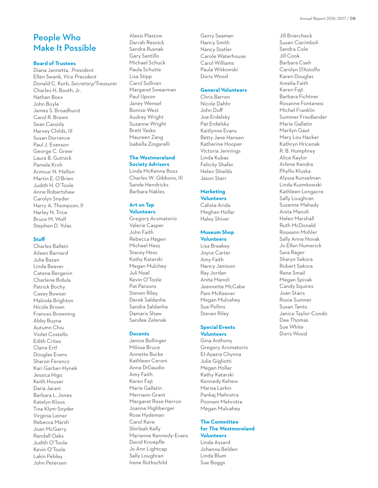## People Who Make It Possible

#### **Board of Trustees**

Diana Jannetta, *President* Ellen Swank, *Vice President* Donald C. Korb, *Secretary/Treasurer* Charles H. Booth, Jr. Nathan Boxx John Boyle James S. Broadhurst Carol R. Brown Sean Cassidy Harvey Childs, III Susan Dorrance Paul J. Evanson George C. Greer Laura B. Gutnick Pamela Kroh Armour N. Mellon Martin E. O'Brien Judith H. O'Toole Anne Robertshaw Carolyn Snyder Harry A. Thompson, II Harley N. Trice Bruce M. Wolf Stephen D. Yslas

#### **Staff**

Charles Ballein Aileen Barnard Julie Bazan Linda Beaver Catena Bergevin Charlene Bidula Patrick Bochy Casey Bowser Malinda Brighton Nicole Brown Frances Browning Abby Buyna Autumn Chiu Violet Costello Edith Crites Claire Ertl Douglas Evans Sharon Ferencz Kari Garber-Hynek Jessica Higo Keith Houser Daria Jarani Barbara L. Jones Katelyn Kloos Tina Klym-Snyder Virginia Leiner Rebecca Marsh Joan McGarry Randall Oaks Judith O'Toole Kevin O'Toole Lakin Pebley John Petersen

Alexis Plastow Darrah Resnick Sandra Rusnak Gary Santillo Michael Schuck Paula Schutte Lisa Stipp Carol Sullivan Margaret Swearman Paul Upson Janey Wensel Bonnie West Audrey Wright Suzanne Wright Brett Yasko Maureen Zang Isabella Zingarelli

#### **The Westmoreland Society Advisors**

Linda McKenna Boxx Charles W. Gibbons, III Sande Hendricks Barbara Nakles

#### **Art on Tap Volunteers**

Gregory Aromatorio Valerie Casper John Faith Rebecca Hagen Michael Hess Stacey Hess Kathy Katarski Megan Mulchey Juli Noel Kevin O'Toole Pat Parsons Steven Riley Derek Saldanha Sandra Saldanha Damaris Shaw Sandee Zelenak

#### **Docents**

Janice Bollinger Milissa Bruce Annette Burke Kathleen Ceroni Anna DiGaudio Amy Faith Karen Fajt Marie Gallatin Merriann Grant Margaret Rose Herron Joanne Highberger Rose Hydeman Carol Kave Shirleah Kelly Marianne Kennedy-Evans David Knoepfle Jo Ann Lightcap Sally Loughran Irene Rothschild

Gerry Seaman Nancy Smith Nancy Statler Carole Waterhouse Carol Williams Paula Witkowski Doris Wood

#### **General Volunteers**

Chris Barron Nicole Dahhr John Duff Joe Erdelsky Pat Erdelsky Kaitlynne Evans Betty Jane Hansen Katherine Hooper Victoria Jennings Linda Kubas Felicity Shafer Helen Shields Jason Starr

#### **Marketing Volunteers**

Calista Arida Meghan Hollar Haley Shiver

#### **Museum Shop Volunteers**

Lisa Breakey Joyce Carter Amy Faith Nancy Jamison Ray Jordan Anita Manoli Jeannette McCabe Pam McKeever Megan Mulcahey Sue Pollins Steven Riley

#### **Special Events Volunteers**

Gina Anthony Gregory Aromatorio El-Ayazra Chynna Julie Gigliotti Megan Hollar Kathy Katarski Kennedy Kehew Marisa Larkin Pankaj Mehrotra Poonam Mehrotra Megan Mulcahey

#### **The Committee for The Westmoreland Volunteers**

Linda Assard Johanna Belden Linda Blum Sue Boggs

Jill Briercheck Susan Ciarimboli Sandra Cole Jill Cook Barbara Cseh Carolyn D'Astolfo Karen Douglas Amelia Faith Karen Fajt Barbara Fichtner Roxanne Fontanesi Michel Franklin Summer Friedlander Marie Gallatin Marilyn Gaut Mary Lou Hacker Kathryn Hricenak R. B. Humphrey Alice Kaylor Arlene Kendra Phyllis Kluska Alyssa Kunselman Linda Kuzmkowski Kathleen Longacre Sally Loughran Suzanne Mahady Anita Manoli Helen Marshall Ruth McDonald Roseann Mohler Sally Anne Novak Jo Ellen Numerick Sara Rager Sharyn Sekora Robert Sekora Rene Smail Megan Spivak Candy Squires Joan Stairs Roxie Sumner Susan Tanto Janice Taylor-Condo Dee Thomas Sue White Doris Wood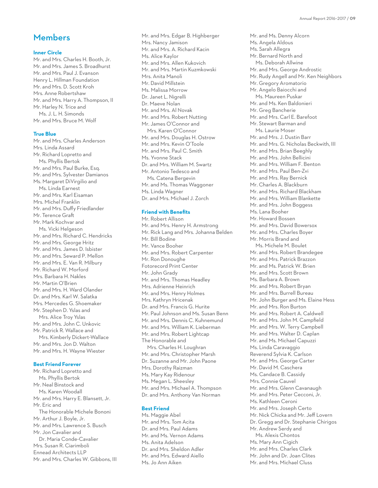### Members

#### **Inner Circle**

Mr. and Mrs. Charles H. Booth, Jr. Mr. and Mrs. James S. Broadhurst Mr. and Mrs. Paul J. Evanson Henry L. Hillman Foundation Mr. and Mrs. D. Scott Kroh Mrs. Anne Robertshaw Mr. and Mrs. Harry A. Thompson, II Mr. Harley N. Trice and Ms. J. L. H. Simonds Mr. and Mrs. Bruce M. Wolf

#### **True Blue**

Mr. and Mrs. Charles Anderson Mrs. Linda Assard Mr. Richard Lopretto and Ms. Phyllis Bertok Mr. and Mrs. Paul Burke, Esq. Mr. and Mrs. Sylvester Damianos Ms. Margaret DiVirgilio and Ms. Linda Earnest Mr. and Mrs. Karl Eisaman Mrs. Michel Franklin Mr. and Mrs. Duffy Friedlander Mr. Terence Graft Mr. Mark Kochvar and Ms. Vicki Helgeson Mr. and Mrs. Richard C. Hendricks Mr. and Mrs. George Hritz Mr. and Mrs. James D. Isbister Mr. and Mrs. Seward P. Mellon Mr. and Mrs. E. Van R. Milbury Mr. Richard W. Morford Mrs. Barbara H. Nakles Mr. Martin O'Brien Mr. and Mrs. H. Ward Olander Dr. and Mrs. Karl W. Salatka Mrs. Mercedes G. Shoemaker Mr. Stephen D. Yslas and Mrs. Alice Troy Yslas Mr. and Mrs. John C. Unkovic Mr. Patrick R. Wallace and Mrs. Kimberly Dickert-Wallace Mr. and Mrs. Jon D. Walton Mr. and Mrs. H. Wayne Wiester

#### **Best Friend Forever**

Mr. Richard Lopretto and Ms. Phyllis Bertok Mr. Neal Binstock and Ms. Karen Woodall Mr. and Mrs. Harry E. Blansett, Jr. Mr. Eric and The Honorable Michele Bononi Mr. Arthur J. Boyle, Jr. Mr. and Mrs. Lawrence S. Busch Mr. Jon Cavalier and Dr. Maria Conde-Cavalier Mrs. Susan R. Ciarimboli Ennead Architects LLP Mr. and Mrs. Charles W. Gibbons, III

Mr. and Mrs. Edgar B. Highberger Mrs. Nancy Jamison Mr. and Mrs. A. Richard Kacin Ms. Alice Kaylor Mr. and Mrs. Allen Kukovich Mr. and Mrs. Martin Kuzmkowski Mrs. Anita Manoli Mr. David Millstein Ms. Malissa Morrow Dr. Janet L. Nigrelli Dr. Maeve Nolan Mr. and Mrs. Al Novak Mr. and Mrs. Robert Nutting Mr. James O'Connor and Mrs. Karen O'Connor Mr. and Mrs. Douglas H. Ostrow Mr. and Mrs. Kevin O'Toole Mr. and Mrs. Paul C. Smith Ms. Yvonne Stack Dr. and Mrs. William M. Swartz Mr. Antonio Tedesco and Ms. Catena Bergevin Mr. and Ms. Thomas Waggoner Ms. Linda Wagner Dr. and Mrs. Michael J. Zorch

#### **Friend with Benefits**

Mr. Robert Allison Mr. and Mrs. Henry H. Armstrong Mr. Rick Lang and Mrs. Johanna Belden Mr. Bill Bodine Mr. Vance Booher Mr. and Mrs. Robert Carpenter Mr. Ron Donoughe Fotorecord Print Center Mr. John Grady Mr. and Mrs. Thomas Headley Mrs. Adrienne Heinrich Mr. and Mrs. Henry Holmes Mrs. Kathryn Hricenak Dr. and Mrs. Francis G. Hurite Mr. Paul Johnson and Ms. Susan Benn Mr. and Mrs. Dennis C. Kuhnemund Mr. and Mrs. William K. Lieberman Mr. and Mrs. Robert Lightcap The Honorable and Mrs. Charles H. Loughran Mr. and Mrs. Christopher Marsh Dr. Suzanne and Mr. John Paone Mrs. Dorothy Raizman Ms. Mary Kay Ridenour Ms. Megan L. Sheesley Mr. and Mrs. Michael A. Thompson Dr. and Mrs. Anthony Van Norman

#### **Best Friend**

Ms. Maggie Abel Mr. and Mrs. Tom Acita Dr. and Mrs. Paul Adams Mr. and Ms. Vernon Adams Ms. Anita Adelson Dr. and Mrs. Sheldon Adler Mr. and Mrs. Edward Aiello Ms. Jo Ann Aiken

Mr. and Ms. Denny Alcorn Ms. Angela Aldous Ms. Sarah Allegra Mr. Bernard North and Ms. Deborah Allwine Mr. and Mrs. George Androstic Mr. Rudy Angell and Mr. Ken Neighbors Mr. Gregory Aromatorio Mr. Angelo Baiocchi and Ms. Maureen Puskar Mr. and Ms. Ken Baldonieri Mr. Greg Bancherie Mr. and Mrs. Carl E. Barefoot Mr. Stewart Barman and Ms. Laurie Moser Mr. and Mrs. J. Dustin Barr Mr. and Mrs. G. Nicholas Beckwith, III Mr. and Mrs. Brian Beeghly Mr. and Mrs. John Bellicini Mr. and Mrs. William F. Benton Mr. and Mrs. Paul Ben-Zvi Mr. and Mrs. Ray Bernick Mr. Charles A. Blackburn Mr. and Mrs. Richard Blackham Mr. and Mrs. William Blankette Mr. and Mrs. John Boggess Ms. Lana Booher Mr. Howard Bossen Mr. and Mrs. David Bowersox Mr. and Mrs. Charles Boyer Mr. Morris Brand and Ms. Michele M. Boulet Mr. and Mrs. Robert Brandegee Mr. and Mrs. Patrick Brazzon Mr. and Ms. Patrick W. Brien Mr. and Mrs. Scott Brown Ms. Barbara A. Brown Mr. and Mrs. Robert Bryan Mr. and Mrs. Burrell Bureau Mr. John Burger and Ms. Elaine Hess Mr. and Mrs. Ron Burton Mr. and Mrs. Robert A. Caldwell Mr. and Mrs. John M. Campfield Mr. and Mrs. W. Terry Campbell Mr. and Mrs. Walter D. Caplan Mr. and Ms. Michael Capuzzi Ms. Linda Caravaggio Reverend Sylvia K. Carlson Mr. and Mrs. George Carter Mr. David M. Caschera Ms. Candace B. Cassidy Mrs. Connie Cauvel Mr. and Mrs. Glenn Cavanaugh Mr. and Mrs. Peter Cecconi, Jr. Ms. Kathleen Ceroni Mr. and Mrs. Joseph Certo Mr. Nick Chicka and Mr. Jeff Lovern Dr. Gregg and Dr. Stephanie Chirigos Mr. Andrew Serdy and Ms. Alexis Chontos Ms. Mary Ann Cigich Mr. and Mrs. Charles Clark Mr. John and Dr. Joan Clites Mr. and Mrs. Michael Cluss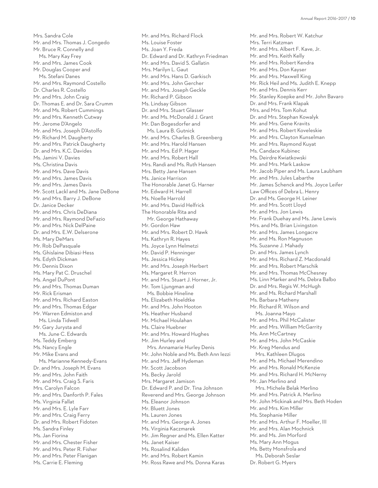Mrs. Sandra Cole Mr. and Mrs. Thomas J. Congedo Mr. Bruce R. Connelly and Ms. Mary Kay Frey Mr. and Mrs. James Cook Mr. Douglas Cooper and Ms. Stefani Danes Mr. and Mrs. Raymond Costello Dr. Charles R. Costello Mr. and Mrs. John Craig Dr. Thomas E. and Dr. Sara Crumm Mr. and Ms. Robert Cummings Mr. and Mrs. Kenneth Cutway Mr. Jerome D'Angelo Mr. and Mrs. Joseph D'Astolfo Mr. Richard M. Daugherty Mr. and Mrs. Patrick Daugherty Dr. and Mrs. K.C. Davides Ms. Jamini V. Davies Ms. Christina Davis Mr. and Mrs. Dave Davis Mr. and Mrs. James Davis Mr. and Mrs. James Davis Mr. Scott Lackl and Ms. Jane DeBone Mr. and Mrs. Barry J. DeBone Dr. Janice Decker Mr. and Mrs. Chris DeDiana Mr. and Mrs. Raymond DeFazio Mr. and Mrs. Nick DelPaine Dr. and Mrs. E.W. Delserone Ms. Mary DeMars Mr. Rob DePasquale Ms. Ghislaine Dibiasi-Hess Ms. Edyth Dickman Mr. Dennis Dixon Ms. Mary Pat C. Druschel Ms. Angel DuPont Mr. and Mrs. Thomas Duman Mr. Rick Erisman Mr. and Mrs. Richard Easton Mr. and Mrs. Thomas Edgar Mr. Warren Edmiston and Ms. Linda Tidwell Mr. Gary Jurysta and Ms. June C. Edwards Ms. Teddy Emberg Ms. Nancy Engle Mr. Mike Evans and Ms. Marianne Kennedy-Evans Dr. and Mrs. Joseph M. Evans Mr. and Mrs. John Faith Mr. and Mrs. Craig S. Faris Mrs. Carolyn Falcon Mr. and Mrs. Danforth P. Fales Ms. Virginia Fallat Mr. and Mrs. E. Lyle Farr Mr. and Mrs. Craig Ferry Dr. and Mrs. Robert Fidoten Ms. Sandra Finley Ms. Jan Fiorina Mr. and Mrs. Chester Fisher Mr. and Mrs. Peter R. Fisher Mr. and Mrs. Peter Flanigan Ms. Carrie E. Fleming

Ms. Louise Foster Ms. Joan Y. Freda Dr. Edward and Dr. Kathryn Friedman Mr. and Mrs. David S. Gallatin Mrs. Marilyn L. Gaut Mr. and Mrs. Hans D. Garkisch Mr. and Mrs. John Gercher Mr. and Mrs. Joseph Geckle Mr. Richard P. Gibson Ms. Lindsay Gibson Dr. and Mrs. Stuart Glasser Mr. and Ms. McDonald J. Grant Mr. Dan Bogesdorfer and Ms. Laura B. Gutnick Mr. and Mrs. Charles B. Greenberg Mr. and Mrs. Harold Hansen Mr. and Mrs. Ed P. Hager Mr. and Mrs. Robert Hall Mrs. Randi and Ms. Ruth Hansen Mrs. Betty Jane Hansen Ms. Janice Harrison The Honorable Janet G. Harner Mr. Edward H. Harrell Ms. Noelle Harrold Mr. and Mrs. David Helfrick The Honorable Rita and Mr. George Hathaway Mr. Gordon Haw Mr. and Mrs. Robert D. Hawk Ms. Kathryn R. Hayes Ms. Joyce Lynn Helmetzi Mr. David P. Henninger Ms. Jessica Hickey Mr. and Mrs. Joseph Herbert Ms. Margaret R. Herron Mr. and Mrs. Stuart J. Horner, Jr. Mr. Tom Ljungman and Ms. Bobbie Hineline Ms. Elizabeth Hoeldtke Mr. and Mrs. John Hooton Ms. Heather Husband Mr. Michael Houlahan Ms. Claire Huebner Mr. and Mrs. Howard Hughes Mr. Jim Hurley and Mrs. Annamarie Hurley Denis Mr. John Noble and Ms. Beth Ann Iezzi Mr. and Mrs. Jeff Hydeman Mr. Scott Jacobson Ms. Becky Jarold Mrs. Margaret Jamison Dr. Edward P. and Dr. Tina Johnson Reverend and Mrs. George Johnson Ms. Eleanor Johnson Mr. Bluett Jones Ms. Lauren Jones Mr. and Mrs. George A. Jones Ms. Virginia Kaczmarek Mr. Jim Regner and Ms. Ellen Katter Ms. Janet Kaiser Ms. Rosalind Kaliden Mr. and Mrs. Robert Kamin Mr. Ross Rawe and Ms. Donna Karas

Mr. and Mrs. Richard Flock

Mr. and Mrs. Robert W. Katchur Mrs. Terri Katzman Mr. and Mrs. Albert F. Kave, Jr. Mr. and Mrs. Keith Kelly Mr. and Mrs. Robert Kendra Mr. and Mrs. Don Kayser Mr. and Mrs. Maxwell King Mr. Rick Heil and Ms. Judith E. Knepp Mr. and Mrs. Dennis Kerr Mr. Stanley Koepke and Mr. John Bavaro Dr. and Mrs. Frank Klapak Mrs. and Mrs. Tom Kohut Dr. and Mrs. Stephan Kowalyk Mr. and Mrs. Gene Kravits Mr. and Mrs. Robert Koveleskie Mr. and Mrs. Clayton Kunselman Mr. and Mrs. Raymond Kuyat Ms. Candace Kubinec Ms. Deirdre Kwiatkowski Mr. and Mrs. Mark Laskow Mr. Jacob Piper and Ms. Laura Laubham Mr. and Mrs. Jules Labarthe Mr. James Schenck and Ms. Joyce Leifer Law Offices of Debra L. Henry Dr. and Ms. George H. Leiner Mr. and Mrs. Scott Lloyd Mr. and Mrs. Jon Lewis Mr. Frank Duehay and Ms. Jane Lewis Mrs. and Ms. Brian Livingston Mr. and Mrs. James Longacre Mr. and Ms. Ron Magnuson Ms. Suzanne J. Mahady Dr. and Mrs. James Lynch Mr. and Mrs. Richard Z. Macdonald Mr. and Mrs. Robert Marschik Mr. and Mrs. Thomas McChesney Ms. Linn Marker and Ms. Debra Balbo Dr. and Mrs. Regis W. McHugh Mr. and Ms. Richard Marshall Ms. Barbara Matheny Mr. Richard R. Wilson and Ms. Joanna Mayo Mr. and Mrs. Phil McCalister Mr. and Mrs. William McGarrity Ms. Ann McCartney Mr. and Mrs. John McCaskie Mr. Kreg Mendus and Mrs. Kathleen Dlugos Mr. and Ms. Michael Merendino Mr. and Mrs. Ronald McKenzie Mr. and Mrs. Richard H. McNerny Mr. Jan Merlino and Mrs. Michele Belak Merlino Mr. and Mrs. Patrick A. Merlino Mr. John Mickinak and Mrs. Beth Hoden Mr. and Mrs. Kim Miller Ms. Stephanie Miller Mr. and Mrs. Arthur F. Moeller, III Mr. and Mrs. Alan Mochnick Mr. and Ms. Jim Morford Ms. Mary Ann Mogus Ms. Betty Monsfrola and Ms. Deborah Seslar Dr. Robert G. Myers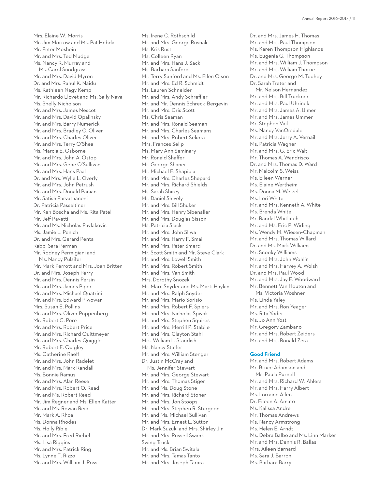Mrs. Elaine W. Morris Mr. Jim Morrow and Ms. Pat Hebda Mr. Peter Moshein Mr. and Mrs. Ted Mudge Ms. Nancy R. Murray and Ms. Carol Snodgrass Mr. and Mrs. David Myron Dr. and Mrs. Rahul K. Naidu Ms. Kathleen Nagy Kemp Mr. Richardo Llovet and Ms. Sally Nava Ms. Shelly Nicholson Mr. and Mrs. James Nescot Mr. and Mrs. David Opalinsky Mr. and Mrs. Barry Numerick Mr. and Mrs. Bradley C. Oliver Mr. and Mrs. Charles Oliver Mr. and Mrs. Terry O'Shea Ms. Marcia E. Osborne Mr. and Mrs. John A. Ostop Mr. and Mrs. Gene O'Sullivan Mr. and Mrs. Hans Paal Dr. and Mrs. Wylie L. Overly Mr. and Mrs. John Petrush Mr. and Mrs. Donald Panian Mr. Satish Parvathaneni Dr. Patricia Passeltiner Mr. Ken Boscha and Ms. Rita Patel Mr. Jeff Pavetti Mr. and Ms. Nicholas Pavlakovic Ms. Jamie L. Penich Dr. and Mrs. Gerard Penta Rabbi Sara Perman Mr. Rodney Permigiani and Ms. Nancy Pulsifer Mr. Mark Perrott and Mrs. Joan Britten Dr. and Mrs. Joseph Perry Mr. and Mrs. Dennis Persin Mr. and Mrs. James Piper Mr. and Mrs. Michael Quatrini Mr. and Mrs. Edward Piwowar Mrs. Susan E. Pollins Mr. and Mrs. Oliver Poppenberg Mr. Robert C. Pore Mr. and Mrs. Robert Price Mr. and Mrs. Richard Quittmeyer Mr. and Mrs. Charles Quiggle Mr. Robert E. Quigley Ms. Catherine Raeff Mr. and Mrs. John Radelet Mr. and Mrs. Mark Randall Ms. Bonnie Ramus Mr. and Mrs. Alan Reese Mr. and Mrs. Robert O. Read Mr. and Ms. Robert Reed Mr. Jim Regner and Ms. Ellen Katter Mr. and Ms. Rowan Reid Mr. Mark A. Rhoa Ms. Donna Rhodes Ms. Holly Rible Mr. and Mrs. Fred Riebel Ms. Lisa Riggins Mr. and Mrs. Patrick Ring Ms. Lynne T. Rizzo Mr. and Mrs. William J. Ross

Mr. and Mrs. George Rusnak Ms. Kris Rust Ms. Colleen Ryan Mr. and Mrs. Hans J. Sack Ms. Barbara Sanford Mr. Terry Sanford and Ms. Ellen Olson Mr. and Mrs. Ed R. Schmidt Ms. Lauren Schneider Mr. and Mrs. Andy Schreffler Mr. and Mr. Dennis Schreck-Bergevin Mr. and Mrs. Cris Scott Ms. Chris Seaman Mr. and Mrs. Ronald Seaman Mr. and Mrs. Charles Seamans Mr. and Mrs. Robert Sekora Mrs. Frances Selip Ms. Mary Ann Seminary Mr. Ronald Shaffer Mr. George Shaner Mr. Michael E. Shapiola Mr. and Mrs. Charles Shepard Mr. and Mrs. Richard Shields Ms. Sarah Shirey Mr. Daniel Shively Mr. and Mrs. Bill Shuker Mr. and Mrs. Henry Sibenaller Mr. and Mrs. Douglas Sisson Ms. Patricia Slack Mr. and Mrs. John Sliwa Mr. and Mrs. Harry F. Smail Mr. and Mrs. Peter Smerd Mr. Scott Smith and Mr. Steve Clark Mr. and Mrs. Lowell Smith Mr. and Mrs. Robert Smith Mr. and Mrs. Van Smith Mrs. Dorothy Snozek Mr. Marc Snyder and Ms. Marti Haykin Mr. and Mrs. Ralph Snyder Mr. and Mrs. Mario Sorisio Mr. and Mrs. Robert F. Spiers Mr. and Mrs. Nicholas Spivak Mr. and Mrs. Stephen Squires Mr. and Mrs. Merrill P. Stabile Mr. and Mrs. Clayton Stahl Mrs. William L. Standish Ms. Nancy Statler Mr. and Mrs. William Stenger Dr. Justin McCray and Ms. Jennifer Stewart Mr. and Mrs. George Stewart Mr. and Mrs. Thomas Stiger Mr. and Ms. Doug Stone Mr. and Mrs. Richard Stoner Mr. and Mrs. Jon Stoops Mr. and Mrs. Stephen R. Sturgeon Mr. and Ms. Michael Sullivan Mr. and Mrs. Ernest L. Sutton Dr. Mark Suzuki and Mrs. Shirley Jin Mr. and Mrs. Russell Swank Swing Truck Mr. and Ms. Brian Switala Mr. and Mrs. Tamas Tanto Mr. and Mrs. Joseph Tarara

Ms. Irene C. Rothschild

Dr. and Mrs. James H. Thomas Mr. and Mrs. Paul Thompson Ms. Karen Thompson Highlands Ms. Eugenia G. Thompson Mr. and Mrs. William J. Thompson Mr. and Mrs. William Thorne Dr. and Mrs. George M. Toohey Dr. Sarah Treter and Mr. Nelson Hernandez Mr. and Mrs. Bill Truckner Mr. and Mrs. Paul Uhrinek Mr. and Mrs. James A. Ulmer Mr. and Mrs. James Ummer Mr. Stephen Vail Ms. Nancy VanOrsdale Mr. and Mrs. Jerry A. Vernail Ms. Patricia Wagner Mr. and Mrs. G. Eric Walt Mr. Thomas A. Wandrisco Dr. and Mrs. Thomas D. Ward Mr. Malcolm S. Weiss Ms. Eileen Werner Ms. Elaine Wertheim Ms. Donna M. Wetzel Ms. Lori White Mr. and Mrs. Kenneth A. White Ms. Brenda White Mr. Randal Whitlatch Mr. and Ms. Eric P. Widing Ms. Wendy M. Wiesen-Chapman Mr. and Mrs. Thomas Willard Dr. and Ms. Mark Williams Mr. Snooky Williams Mr. and Mrs. John Wohlin Mr. and Mrs. Harvey A. Wolsh Dr. and Mrs. Paul Wood Mr. and Mrs. Jay E. Woodward Mr. Bennett Van Houton and Ms. Victoria Woshner Ms. Linda Yaley Mr. and Mrs. Ron Yeager Ms. Rita Yoder Ms. Jo Ann Yost Mr. Gregory Zambano Mr. and Mrs. Robert Zeiders Mr. and Mrs. Ronald Zera

#### **Good Friend**

Mr. and Mrs. Robert Adams Mr. Bruce Adamson and Ms. Paula Purnell Mr. and Mrs. Richard W. Ahlers Mr. and Mrs. Harry Albert Ms. Lorraine Allen Dr. Eileen A. Amato Ms. Kalissa Andre Mr. Thomas Andrews Ms. Nancy Armstrong Ms. Helen E. Arndt Ms. Debra Balbo and Ms. Linn Marker Mr. and Mrs. Dennis R. Ballas Mrs. Aileen Barnard Ms. Sara J. Barron Ms. Barbara Barry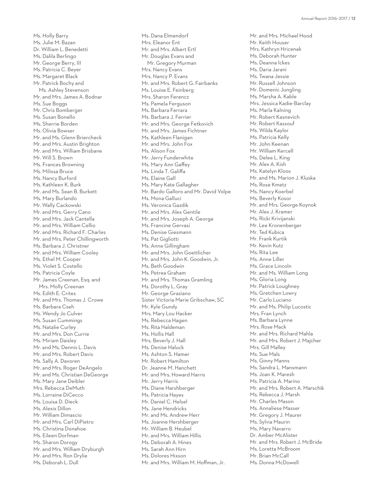Ms. Holly Barry Ms. Julie M. Bazan Dr. William L. Benedetti Ms. Dalila Berlingo Mr. George Berry, III Ms. Patricia C. Beyer Ms. Margaret Black Mr. Patrick Bochy and Ms. Ashley Stevenson Mr. and Mrs. James A. Bodnar Ms. Sue Boggs Mr. Chris Bomberger Ms. Susan Bonello Ms. Sherrie Borden Ms. Olivia Bowser Mr. and Ms. Glenn Briercheck Mr. and Mrs. Austin Brighton Mr. and Mrs. William Brisbane Mr. Will S. Brown Ms. Frances Browning Ms. Milissa Bruce Ms. Nancy Burford Ms. Kathleen K. Burk Mr. and Ms. Sean B. Burkett Ms. Mary Burlando Mr. Wally Cackowski Mr. and Mrs. Gerry Cano Mr. and Mrs. Jack Cantella Mr. and Mrs. William Cellio Mr. and Mrs. Richard F. Charles Mr. and Mrs. Peter Chillingworth Ms. Barbara J. Christner Mr. and Mrs. William Cooley Ms. Ethel M. Cooper Ms. Violet S. Costello Ms. Patricia Coyle Mr. James Creenan, Esq. and Mrs. Molly Creenan Ms. Edith E. Crites Mr. and Mrs. Thomas J. Crowe Ms. Barbara Cseh Ms. Wendy Jo Culver Ms. Susan Cummings Ms. Natalie Curley Mr. and Mrs. Don Currie Ms. Miriam Daisley Mr. and Ms. Dennis L. Davis Mr. and Mrs. Robert Davis Ms. Sally A. Davoren Mr. and Mrs. Roger DeAngelo Mr. and Ms. Christian DeGeorge Ms. Mary Jane Deibler Mrs. Rebecca DeMuth Ms. Lorraine DiCecco Ms. Louisa D. Dieck Ms. Alexis Dillon Mr. William Dimascio Mr. and Mrs. Carl DiPietro Ms. Christina Donahoe Ms. Eileen Dorfman Ms. Sharon Dorogy Mr. and Mrs. William Dryburgh Mr. and Mrs. Ron Drylie Ms. Deborah L. Dull

Mrs. Eleanor Ent Mr. and Mrs. Albert Ertl Mr. Douglas Evans and Mr. Gregory Murman Mrs. Nancy Evans Mrs. Nancy P. Evans Mr. and Mrs. Robert G. Fairbanks Ms. Louise E. Feinberg Mrs. Sharon Ferencz Ms. Pamela Ferguson Ms. Barbara Ferrara Ms. Barbara J. Ferrier Mr. and Mrs. George Fetkovich Mr. and Mrs. James Fichtner Ms. Kathleen Flanigan Mr. and Mrs. John Fox Ms. Alison Fox Mr. Jerry Funderwhite Ms. Mary Ann Gaffey Ms. Linda T. Galiffa Ms. Elaine Gall Ms. Mary Kate Gallagher Mr. Bardo Galloro and Mr. David Volpe Ms. Mona Galluci Ms. Veronica Gazdik Mr. and Mrs. Alex Gentile Mr. and Mrs. Joseph A. George Ms. Francine Gervasi Ms. Denise Giesmann Ms. Pat Gigliotti Ms. Anne Gillingham Mr. and Mrs. John Goettlicher Mr. and Mrs. John K. Goodwin, Jr. Ms. Beth Goodwin Ms. Petrea Graham Mr. and Mrs. Thomas Gramling Ms. Dorothy L. Gray Mr. George Graziano Sister Victoria Marie Gribschaw, SC Mr. Kyle Gundy Mrs. Mary Lou Hacker Ms. Rebecca Hagen Ms. Rita Haldeman Ms. Hollis Hall Mrs. Beverly J. Hall Ms. Denise Haluck Ms. Ashton S. Hamer Mr. Robert Hamilton Dr. Jeanne M. Hanchett Mr. and Mrs. Howard Harris Mr. Jerry Harris Ms. Diane Harshberger Ms. Patricia Hayes Mr. Daniel C. Helsel Ms. Jane Hendricks Mr. and Ms. Andrew Herr Ms. Joanne Hershberger Mr. William B. Heubel Mr. and Mrs. William Hillis Ms. Deborah A. Hines Ms. Sarah Ann Hirn Ms. Dolores Hixson Mr. and Mrs. William M. Hoffman, Jr.

Ms. Dana Elmendorf

Mr. and Mrs. Michael Hood Mr. Keith Houser Mrs. Kathryn Hricenak Ms. Deborah Hunter Ms. Deanna Ickes Ms. Daria Jarani Ms. Twana Jessie Mr. Russell Johnson Mr. Domenic Jungling Ms. Marsha A. Kable Mrs. Jessica Kadie-Barclay Ms. Marla Kalning Mr. Robert Kasnevich Mr. Robert Kassouf Ms. Wilda Kaylor Ms. Patricia Kelly Mr. John Keenan Mr. William Kercell Ms. Delee L. King Mr. Alex A. Kish Ms. Katelyn Kloos Mr. and Ms. Marion J. Kluska Ms. Rose Kmetz Ms. Nancy Koerbel Ms. Beverly Kosor Mr. and Mrs. George Koynok Mr. Alex J. Kramer Ms. Ricki Krivijanski Mr. Lee Kronenberger Mr. Ted Kubica Mr. Frank Kurtik Mr. Kevin Kutz Ms. Rita Lee Ms. Anne Liller Ms. Grace Lincoln Mr. and Ms. William Long Ms. Gloria Long Mr. Patrick Loughney Ms. Gretchen Lowry Mr. Carlo Luciano Mr. and Ms. Philip Lucostic Mrs. Fran Lynch Ms. Barbara Lynne Mrs. Rose Mack Mr. and Mrs. Richard Mahla Mr. and Mrs. Robert J. Majcher Mrs. Gill Malley Ms. Sue Mals Ms. Ginny Manns Ms. Sandra L. Mansmann Ms. Joan K. Maresh Ms. Patricia A. Marino Mr. and Mrs. Robert A. Marschik Ms. Rebecca J. Marsh Mr. Charles Mason Ms. Annaliese Masser Mr. Gregory J. Maurer Ms. Sylvia Maurin Ms. Mary Navarro Dr. Amber McAlister Mr. and Mrs. Robert J. McBride Ms. Loretta McBroom Mr. Brian McCall Ms. Donna McDowell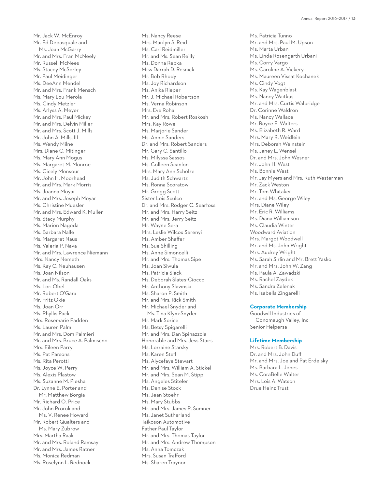Mr. Jack W. McEnroy Mr. Ed Depasquale and Ms. Joan McGarry Mr. and Mrs. Fran McNeely Mr. Russell McNees Ms. Stacey McSorley Mr. Paul Meidinger Ms. DeeAnn Mendel Mr. and Mrs. Frank Mensch Ms. Mary Lou Merola Ms. Cindy Metzler Ms. Arlyss A. Meyer Mr. and Mrs. Paul Mickey Mr. and Mrs. Delvin Miller Mr. and Mrs. Scott J. Mills Mr. John A. Mills, III Ms. Wendy Milne Mrs. Diane C. Mitinger Ms. Mary Ann Mogus Ms. Margaret M. Monroe Ms. Cicely Monsour Mr. John H. Moorhead Mr. and Mrs. Mark Morris Ms. Joanna Moyar Mr. and Mrs. Joseph Moyar Ms. Christine Muesler Mr. and Mrs. Edward K. Muller Ms. Stacy Murphy Ms. Marion Nagoda Ms. Barbara Nalle Ms. Margaret Naus Ms. Valeria P. Nava Mr. and Mrs. Lawrence Niemann Mrs. Nancy Nemeth Ms. Kay C. Neuhausen Ms. Joan Nilson Mr. and Ms. Randall Oaks Ms. Lori Obel Mr. Robert O'Gara Mr. Fritz Okie Ms. Joan Orr Ms. Phyllis Pack Mrs. Rosemarie Padden Ms. Lauren Palm Mr. and Mrs. Dom Palmieri Mr. and Mrs. Bruce A. Palmiscno Mrs. Eileen Parry Ms. Pat Parsons Ms. Rita Perotti Ms. Joyce W. Perry Ms. Alexis Plastow Ms. Suzanne M. Plesha Dr. Lynne E. Porter and Mr. Matthew Borgia Mr. Richard O. Price Mr. John Prorok and Ms. V. Renee Howard Mr. Robert Qualters and Ms. Mary Zubrow Mrs. Martha Raak Mr. and Mrs. Roland Ramsay Mr. and Mrs. James Ratner Ms. Monica Redman Ms. Roselynn L. Rednock

Mrs. Marilyn S. Reid Ms. Cari Reidmiller Mr. and Ms. Sean Reilly Ms. Donna Repka Miss Darrah D. Resnick Mr. Bob Rhody Ms. Joy Richardson Ms. Anika Rieper Mr. J. Michael Robertson Ms. Verna Robinson Mrs. Eve Roha Mr. and Mrs. Robert Roskosh Mrs. Kay Rowe Ms. Marjorie Sander Ms. Annie Sanders Dr. and Mrs. Robert Sanders Mr. Gary C. Santillo Ms. Milyssa Sassos Ms. Colleen Scanlon Mrs. Mary Ann Scholze Ms. Judith Schwartz Ms. Ronna Scoratow Mr. Gregg Scott Sister Lois Sculco Dr. and Mrs. Rodger C. Searfoss Mr. and Mrs. Harry Seitz Mr. and Mrs. Jerry Seitz Mr. Wayne Sera Mrs. Leslie Wilcox Serenyi Ms. Amber Shaffer Ms. Sue Shilling Ms. Anne Simoncelli Mr. and Mrs. Thomas Sipe Ms. Joan Siwula Ms. Patricia Slack Ms. Deborah Slates-Ciocco Mr. Anthony Slavinski Ms. Sharon P. Smith Mr. and Mrs. Rick Smith Mr. Michael Snyder and Ms. Tina Klym-Snyder Mr. Mark Sorice Ms. Betsy Spigarelli Mr. and Mrs. Dan Spinazzola Honorable and Mrs. Jess Stairs Ms. Lorraine Starsky Ms. Karen Stefl Ms. Alycefaye Stewart Mr. and Mrs. William A. Stickel Mr. and Mrs. Sean M. Stipp Ms. Angeles Stiteler Ms. Denise Stock Ms. Jean Stoehr Ms. Mary Stubbs Mr. and Mrs. James P. Sumner Ms. Janet Sutherland Taikoson Automotive Father Paul Taylor Mr. and Mrs. Thomas Taylor Mr. and Mrs. Andrew Thompson Ms. Anna Tomczak Mrs. Susan Trafford Ms. Sharen Traynor

Ms. Nancy Reese

Mr. and Mrs. Paul M. Upson Ms. Marta Urban Ms. Linda Rosengarth Urbani Ms. Corry Vargo Ms. Caroline A. Vickery Ms. Maureen Vissat Kochanek Ms. Cindy Vogt Ms. Kay Wagenblast Ms. Nancy Waitkus Mr. and Mrs. Curtis Walbridge Dr. Corinne Waldron Ms. Nancy Wallace Mr. Royce E. Walters Ms. Elizabeth R. Ward Mrs. Mary R. Weidlein Mrs. Deborah Weinstein Ms. Janey L. Wensel Dr. and Mrs. John Wesner Mr. John H. West Ms. Bonnie West Mr. Jay Myers and Mrs. Ruth Westerman Mr. Zack Weston Mr. Tom Whitaker Mr. and Ms. George Wiley Mrs. Diane Wiley Mr. Eric R. Williams Ms. Diana Williamson Ms. Claudia Winter Woodward Aviation Mrs. Margot Woodwell Mr. and Ms. John Wright Mrs. Audrey Wright Ms. Sarah Sirlin and Mr. Brett Yasko Mr. and Mrs. John W. Zang Ms. Paula A. Zawadzki Ms. Rachel Zaydek Ms. Sandra Zelenak Ms. Isabella Zingarelli

Ms. Patricia Tunno

#### **Corporate Membership**

Goodwill Industries of Conomaugh Valley, Inc Senior Helpersa

#### **Lifetime Membership**

Mrs. Robert B. Davis Dr. and Mrs. John Duff Mr. and Mrs. Joe and Pat Erdelsky Ms. Barbara L. Jones Ms. CoraBelle Walter Mrs. Lois A. Watson Drue Heinz Trust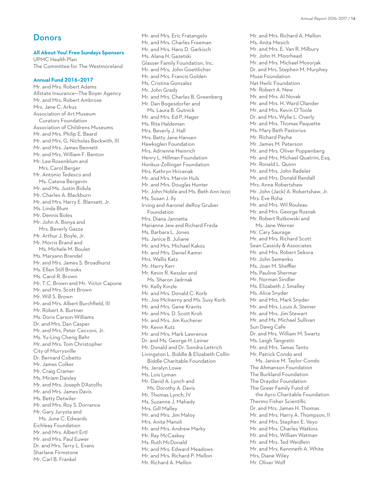### Donors

#### **All About You! Free Sundays Sponsors**

UPMC Health Plan The Committee for The Westmoreland

#### **Annual Fund 2016–2017**

Mr. and Mrs. Robert Adams Allstate Insurance—The Boyer Agency Mr. and Mrs. Robert Ambrose Mrs. Jane C. Arkus Association of Art Museum Curators Foundation Association of Childrens Museums Mr. and Mrs. Philip E. Beard Mr. and Mrs. G. Nicholas Beckwith, III Mr. and Mrs. James Bennett Mr. and Mrs. William F. Benton Mr. Lee Rosenblum and Mrs. Carol Berger Mr. Antonio Tedesco and Ms. Catena Bergevin Mr. and Ms. Justin Bidula Mr. Charles A. Blackburn Mr. and Mrs. Harry E. Blansett, Jr. Ms. Linda Blum Mr. Dennis Boles Mr. John A. Bonya and Mrs. Beverly Gazza Mr. Arthur J. Boyle, Jr. Mr. Morris Brand and Ms. Michele M. Boulet Ms. Maryann Brendel Mr. and Mrs. James S. Broadhurst Ms. Ellen Still Brooks Ms. Carol R. Brown Mr. T.C. Brown and Mr. Victor Capone Mr. and Mrs. Scott Brown Mr. Will S. Brown Mr. and Mrs. Albert Burchfield, III Mr. Robert A. Burtner Ms. Doris Carson-Williams Dr. and Mrs. Dan Casper Mr. and Mrs. Peter Cecconi, Jr. Ms. Yu-Ling Cheng Behr Mr. and Mrs. Tom Christopher City of Murrysville Dr. Bernard Cobetto Mr. James Colker Mr. Craig Cramer Ms. Miriam Daisley Mr. and Mrs. Joseph D'Astolfo Mr. and Mrs. James Davis Ms. Betty Detwiler Mr. and Mrs. Roy S. Dorrance Mr. Gary Jurysta and Ms. June C. Edwards Eichleay Foundation Mr. and Mrs. Albert Ertl Mr. and Mrs. Paul Euwer Dr. and Mrs. Terry L. Evans Sharlane Firmstone Mr. Carl B. Frankel

Mr. and Mrs. Charles Freeman Mr. and Mrs. Hans D. Garkisch Ms. Alana H. Gazetski Glasser Family Foundation, Inc. Mr. and Mrs. John Goettlicher Mr. and Mrs. Francis Golden Ms. Cristina Gonzalez Mr. John Grady Mr. and Mrs. Charles B. Greenberg Mr. Dan Bogesdorfer and Ms. Laura B. Gutnick Mr. and Mrs. Ed P. Hager Ms. Rita Haldeman Mrs. Beverly J. Hall Mrs. Betty Jane Hansen Hawksglen Foundation Mrs. Adrienne Heinrich Henry L. Hillman Foundation Honkus-Zollinger Foundation Mrs. Kathryn Hricenak Mr. and Mrs. Marvin Huls Mr. and Mrs. Douglas Hunter Mr. John Noble and Ms. Beth Ann Iezzi Ms. Susan J. Ily Irving and Aaronel deRoy Gruber Foundation Mrs. Diana Jannetta Marianne Jew and Richard Freda Ms. Barbara L. Jones Ms. Janice B. Juliane Mr. and Mrs. Michael Kakos Mr. and Mrs. Daniel Kamin Mrs. Wallis Katz Mr. Harry Kerr Mr. Kevin R. Kessler and Ms. Sharon Jadrnak Mr. Kelly Kinzle Mr. and Mrs. Donald C. Korb Mr. Joe McInerny and Ms. Susy Korb Mr. and Mrs. Gene Kravits Mr. and Mrs. D. Scott Kroh Mr. and Mrs. Jim Kucherer Mr. Kevin Kutz Mr. and Mrs. Mark Lawrence Dr. and Ms. George H. Leiner Mr. Donald and Dr. Sondra Lettrich Livingston L. Biddle & Elizabeth Collin Biddle Charitable Foundation Ms. Jeralyn Lowe Ms. Lois Lyman Mr. David A. Lynch and Ms. Dorothy A. Davis Mr. Thomas Lynch, IV Ms. Suzanne J. Mahady Mrs. Gill Malley Mr. and Mrs. Jim Maloy Mrs. Anita Manoli Mr. and Mrs. Andrew Marky Mr. Ray McCaskey Ms. Ruth McDonald Mr. and Mrs. Edward Meadows Mr. and Mrs. Richard P. Mellon Mr. Richard A. Mellon

Mr. and Mrs. Eric Fratangelo

Mr. and Mrs. Richard A. Mellon Ms. Anita Mesich Mr. and Mrs. E. Van R. Milbury Mr. John H. Moorhead Mr. and Mrs. Michael Mosorjak Dr. and Mrs. Stephen M. Murphey Muse Foundation Nat Hwilc Foundation Mr. Robert A. New Mr. and Mrs. Al Novak Mr. and Mrs. H. Ward Olander Mr. and Mrs. Kevin O'Toole Dr. and Mrs. Wylie L. Overly Mr. and Mrs. Thomas Paquette Ms. Mary Beth Pastorius Mr. Richard Payha Mr. James M. Peterson Mr. and Mrs. Oliver Poppenberg Mr. and Mrs. Michael Quatrini, Esq. Mr. Ronald L. Quinn Mr. and Mrs. John Radelet Mr. and Mrs. Donald Randall Mrs. Anne Robertshaw Mr. John (Jack) A. Robertshaw, Jr. Mrs. Eve Roha Mr. and Mrs. Wil Rouleau Mr. and Mrs. George Rusnak Mr. Robert Rutkowski and Ms. Jane Werner Mr. Cary Saurage Mr. and Mrs. Richard Scott Sean Cassidy & Associates Mr. and Mrs. Robert Sekora Mr. John Semenko Ms. Joan M. Sheffler Ms. Pauline Shermar Mr. Norman Sindler Ms. Elizabeth J. Smalley Ms. Alice Snyder Mr. and Mrs. Mark Snyder Mr. and Mrs. Louis A. Steiner Mr. and Mrs. Jim Stewart Mr. and Ms. Michael Sullivan Sun Dawg Cafe Dr. and Mrs. William M. Swartz Ms. Leigh Tangretti Mr. and Mrs. Tamas Tanto Mr. Patrick Condo and Ms. Janice M. Taylor-Condo The Ahmanson Foundation The Burkland Foundation The Draydor Foundation The Greer Family Fund of the Ayco Charitable Foundation Thermo Fisher Scientific Dr. and Mrs. James H. Thomas Mr. and Mrs. Harry A. Thompson, II Mr. and Mrs. Stephen E. Veyo Mr. and Mrs. Charles Watkins Mr. and Mrs. William Watman Mr. and Mrs. Ted Weidlein Mr. and Mrs. Kennneth A. White Mrs. Diane Wiley Mr. Oliver Wolf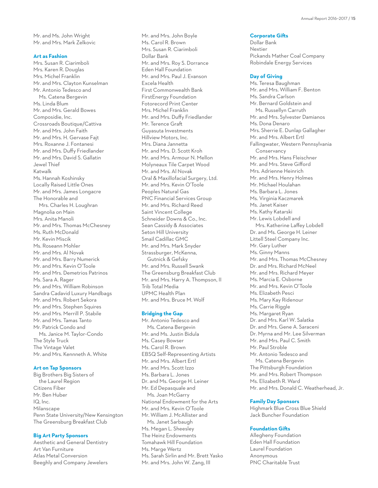Mr. and Ms. John Wright Mr. and Mrs. Mark Zelkovic

#### **Art as Fashion**

Mrs. Susan R. Ciarimboli Mrs. Karen R. Douglas Mrs. Michel Franklin Mr. and Mrs. Clayton Kunselman Mr. Antonio Tedesco and Ms. Catena Bergevin Ms. Linda Blum Mr. and Mrs. Gerald Bowes Composidie, Inc. Crossroads Boutique/Cattiva Mr. and Mrs. John Faith Mr. and Mrs. H. Gervase Fajt Mrs. Roxanne J. Fontanesi Mr. and Mrs. Duffy Friedlander Mr. and Mrs. David S. Gallatin Jewel Thief Katwalk Ms. Hannah Koshinsky Locally Raised Little Ones Mr. and Mrs. James Longacre The Honorable and Mrs. Charles H. Loughran Magnolia on Main Mrs. Anita Manoli Mr. and Mrs. Thomas McChesney Ms. Ruth McDonald Mr. Kevin Miscik Ms. Roseann Mohler Mr. and Mrs. Al Novak Mr. and Mrs. Barry Numerick Mr. and Mrs. Kevin O'Toole Mr. and Mrs. Demetrios Patrinos Ms. Sara A. Rager Mr. and Mrs. William Robinson Sandra Cadavid Luxury Handbags Mr. and Mrs. Robert Sekora Mr. and Mrs. Stephen Squires Mr. and Mrs. Merrill P. Stabile Mr. and Mrs. Tamas Tanto Mr. Patrick Condo and Ms. Janice M. Taylor-Condo The Style Truck The Vintage Valet Mr. and Mrs. Kennneth A. White

#### **Art on Tap Sponsors**

Big Brothers Big Sisters of the Laurel Region Citizens Fiber Mr. Ben Huber IQ, Inc. Milanscape Penn State University/New Kensington The Greensburg Breakfast Club

#### **Big Art Party Sponsors**

Aesthetic and General Dentistry Art Van Furniture Atlas Metal Conversion Beeghly and Company Jewelers Mr. and Mrs. John Boyle Ms. Carol R. Brown Mrs. Susan R. Ciarimboli Dollar Bank Mr. and Mrs. Roy S. Dorrance Eden Hall Foundation Mr. and Mrs. Paul J. Evanson Excela Health First Commonwealth Bank FirstEnergy Foundation Fotorecord Print Center Mrs. Michel Franklin Mr. and Mrs. Duffy Friedlander Mr. Terence Graft Guyasuta Investments Hillview Motors, Inc. Mrs. Diana Jannetta Mr. and Mrs. D. Scott Kroh Mr. and Mrs. Armour N. Mellon Molyneaux Tile Carpet Wood Mr. and Mrs. Al Novak Oral & Maxillofacial Surgery, Ltd. Mr. and Mrs. Kevin O'Toole Peoples Natural Gas PNC Financial Services Group Mr. and Mrs. Richard Reed Saint Vincent College Schneider Downs & Co., Inc. Sean Cassidy & Associates Seton Hill University Smail Cadillac GMC Mr. and Mrs. Mark Snyder Strassburger, McKenna, Gutnick & Gefsky Mr. and Mrs. Russell Swank The Greensburg Breakfast Club Mr. and Mrs. Harry A. Thompson, II Trib Total Media UPMC Health Plan Mr. and Mrs. Bruce M. Wolf

#### **Bridging the Gap**

Mr. Antonio Tedesco and Ms. Catena Bergevin Mr. and Ms. Justin Bidula Ms. Casey Bowser Ms. Carol R. Brown EBSQ Self-Representing Artists Mr. and Mrs. Albert Ertl Mr. and Mrs. Scott Izzo Ms. Barbara L. Jones Dr. and Ms. George H. Leiner Mr. Ed Depasquale and Ms. Joan McGarry National Endowment for the Arts Mr. and Mrs. Kevin O'Toole Mr. William J. McAllister and Ms. Janet Sarbaugh Ms. Megan L. Sheesley The Heinz Endowments Tomahawk Hill Foundation Ms. Marge Wertz Ms. Sarah Sirlin and Mr. Brett Yasko Mr. and Mrs. John W. Zang, III

#### **Corporate Gifts**

Dollar Bank Nextier Pickands Mather Coal Company Robindale Energy Services

#### **Day of Giving**

Ms. Teresa Baughman Mr. and Mrs. William F. Benton Ms. Sandra Carlson Mr. Bernard Goldstein and Ms. Russellyn Carruth Mr. and Mrs. Sylvester Damianos Ms. Dona Denaro Mrs. Sherrie E. Dunlap Gallagher Mr. and Mrs. Albert Ertl Fallingwater, Western Pennsylvania Conservancy Mr. and Mrs. Hans Fleischner Mr. and Mrs. Steve Gifford Mrs. Adrienne Heinrich Mr. and Mrs. Henry Holmes Mr. Michael Houlahan Ms. Barbara L. Jones Ms. Virginia Kaczmarek Ms. Janet Kaiser Ms. Kathy Katarski Mr. Lewis Lobdell and Mrs. Katherine Laffey Lobdell Dr. and Ms. George H. Leiner Littell Steel Company Inc. Mr. Gary Luther Ms. Ginny Manns Mr. and Mrs. Thomas McChesney Dr. and Mrs. Richard McNeel Mr. and Mrs. Richard Meyer Ms. Marcia E. Osborne Mr. and Mrs. Kevin O'Toole Ms. Elizabeth Pesci Ms. Mary Kay Ridenour Ms. Carrie Riggle Ms. Margaret Ryan Dr. and Mrs. Karl W. Salatka Dr. and Mrs. Gene A. Saraceni Dr. Myrna and Mr. Lee Silverman Mr. and Mrs. Paul C. Smith Mr. Paul Stroble Mr. Antonio Tedesco and Ms. Catena Bergevin The Pittsburgh Foundation Mr. and Mrs. Robert Thompson Ms. Elizabeth R. Ward Mr. and Mrs. Donald C. Weatherhead, Jr.

#### **Family Day Sponsors**

Highmark Blue Cross Blue Shield Jack Buncher Foundation

#### **Foundation Gifts**

Allegheny Foundation Eden Hall Foundation Laurel Foundation Anonymous PNC Charitable Trust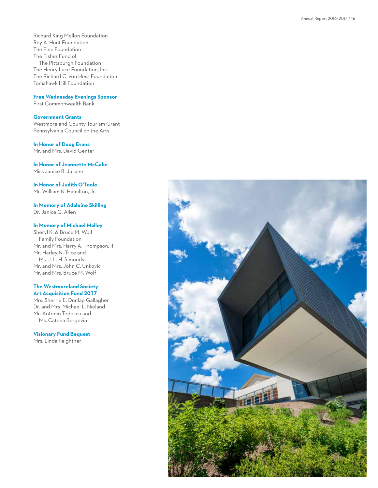Richard King Mellon Foundation Roy A. Hunt Foundation The Fine Foundation The Fisher Fund of The Pittsburgh Foundation The Henry Luce Foundation, Inc. The Richard C. von Hess Foundation Tomahawk Hill Foundation

#### **Free Wednesday Evenings Sponsor**

First Commonwealth Bank

#### **Government Grants**

Westmoreland County Tourism Grant Pennsylvania Council on the Arts

**In Honor of Doug Evans** Mr. and Mrs. David Genter

**In Honor of Jeannette McCabe** Miss Janice B. Juliane

**In Honor of Judith O'Toole** Mr. William N. Hamilton, Jr.

**In Memory of Adaleine Skilling** Dr. Janice G. Allen

#### **In Memory of Michael Malley**

Sheryl K. & Bruce M. Wolf Family Foundation Mr. and Mrs. Harry A. Thompson, II Mr. Harley N. Trice and Ms. J. L. H. Simonds Mr. and Mrs. John C. Unkovic Mr. and Mrs. Bruce M. Wolf

#### **The Westmoreland Society Art Acquisition Fund 2017**

Mrs. Sherrie E. Dunlap Gallagher Dr. and Mrs. Michael L. Nieland Mr. Antonio Tedesco and Ms. Catena Bergevin

**Visionary Fund Bequest** Mrs. Linda Feightner

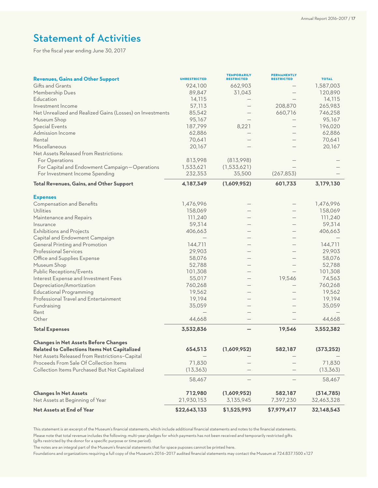## Statement of Activities

For the fiscal year ending June 30, 2017

| <b>Revenues, Gains and Other Support</b>                  | <b>UNRESTRICTED</b> | <b>TEMPORARILY</b><br><b>RESTRICTED</b> | <b>PERMANENTLY</b><br><b>RESTRICTED</b> | <b>TOTAL</b> |
|-----------------------------------------------------------|---------------------|-----------------------------------------|-----------------------------------------|--------------|
| Gifts and Grants                                          | 924,100             | 662,903                                 |                                         | 1,587,003    |
| Membership Dues                                           | 89,847              | 31,043                                  |                                         | 120,890      |
| Education                                                 | 14,115              |                                         |                                         | 14,115       |
| Investment Income                                         | 57,113              |                                         | 208,870                                 | 265,983      |
| Net Unrealized and Realized Gains (Losses) on Investments | 85,542              |                                         | 660,716                                 | 746,258      |
| Museum Shop                                               | 95,167              |                                         |                                         | 95,167       |
| <b>Special Events</b>                                     | 187,799             | 8,221                                   |                                         | 196,020      |
| Admission Income                                          | 62,886              |                                         |                                         | 62,886       |
| Rental                                                    | 70,641              |                                         |                                         | 70,641       |
| Miscellaneous                                             | 20,167              |                                         |                                         | 20,167       |
| Net Assets Released from Restrictions:                    |                     |                                         |                                         |              |
| For Operations                                            | 813,998             | (813,998)                               |                                         |              |
| For Capital and Endowment Campaign-Operations             | 1,533,621           | (1,533,621)                             |                                         |              |
| For Investment Income Spending                            | 232,353             | 35,500                                  | (267, 853)                              |              |
| <b>Total Revenues, Gains, and Other Support</b>           | 4,187,349           | (1,609,952)                             | 601,733                                 | 3,179,130    |
| <b>Expenses</b>                                           |                     |                                         |                                         |              |
| <b>Compensation and Benefits</b>                          | 1,476,996           |                                         |                                         | 1,476,996    |
| Utilities                                                 | 158,069             |                                         |                                         | 158,069      |
| Maintenance and Repairs                                   | 111,240             |                                         |                                         | 111,240      |
| Insurance                                                 | 59,314              |                                         |                                         | 59,314       |
| <b>Exhibitions and Projects</b>                           | 406,663             |                                         |                                         | 406,663      |
| Capital and Endowment Campaign                            |                     |                                         |                                         |              |
| <b>General Printing and Promotion</b>                     | 144,711             |                                         |                                         | 144,711      |
| <b>Professional Services</b>                              | 29,903              |                                         |                                         | 29,903       |
| Office and Supplies Expense                               | 58,076              |                                         |                                         | 58,076       |
| Museum Shop                                               | 52,788              |                                         |                                         | 52,788       |
| <b>Public Receptions/Events</b>                           | 101,308             |                                         |                                         | 101,308      |
| Interest Expense and Investment Fees                      | 55,017              |                                         | 19,546                                  | 74,563       |
| Depreciation/Amortization                                 | 760,268             |                                         |                                         | 760,268      |
| <b>Educational Programming</b>                            | 19,562              |                                         |                                         | 19,562       |
| Professional Travel and Entertainment                     | 19,194              |                                         |                                         | 19,194       |
| Fundraising                                               | 35,059              |                                         |                                         | 35,059       |
| Rent                                                      |                     |                                         |                                         |              |
| Other                                                     | 44,668              |                                         |                                         | 44,668       |
| <b>Total Expenses</b>                                     | 3,532,836           |                                         | 19,546                                  | 3,552,382    |
| <b>Changes in Net Assets Before Changes</b>               |                     |                                         |                                         |              |
| <b>Related to Collections Items Not Capitalized</b>       | 654,513             | (1,609,952)                             | 582,187                                 | (373, 252)   |
| Net Assets Released from Restrictions-Capital             |                     |                                         |                                         |              |
| Proceeds From Sale Of Collection Items                    | 71,830              |                                         |                                         | 71,830       |
| Collection Items Purchased But Not Capitalized            | (13, 363)           |                                         |                                         | (13, 363)    |
|                                                           | 58,467              |                                         |                                         | 58,467       |
| <b>Changes In Net Assets</b>                              | 712,980             | (1,609,952)                             | 582,187                                 | (314, 785)   |
| Net Assets at Beginning of Year                           | 21,930,153          | 3,135,945                               | 7,397,230                               | 32,463,328   |
| Net Assets at End of Year                                 | \$22,643,133        | \$1,525,993                             | \$7,979,417                             | 32,148,543   |

This statement is an excerpt of the Museum's financial statements, which include additional financial statements and notes to the financial statements. Please note that total revenue includes the following: multi-year pledges for which payments has not been received and temporarily restricted gifts (gifts restricted by the donor for a specific purpose or time period).

The notes are an integral part of the Museum's financial statements that for space puposes cannot be printed here.

Foundations and organizations requiring a full copy of the Museum's 2016–2017 audited financial statements may contact the Museum at 724.837.1500 x127